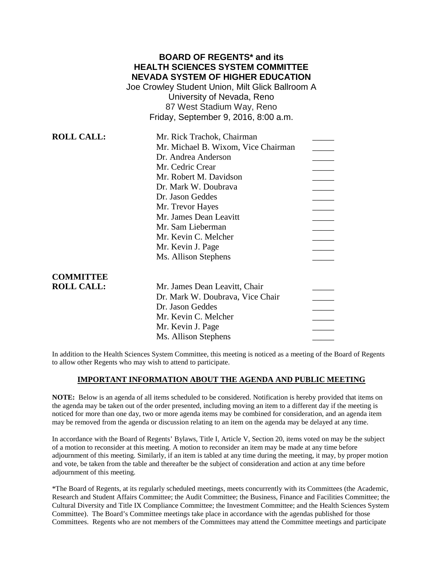|                   | <b>BOARD OF REGENTS* and its</b><br><b>HEALTH SCIENCES SYSTEM COMMITTEE</b><br><b>NEVADA SYSTEM OF HIGHER EDUCATION</b><br>Joe Crowley Student Union, Milt Glick Ballroom A<br>University of Nevada, Reno<br>87 West Stadium Way, Reno<br>Friday, September 9, 2016, 8:00 a.m. |  |
|-------------------|--------------------------------------------------------------------------------------------------------------------------------------------------------------------------------------------------------------------------------------------------------------------------------|--|
| <b>ROLL CALL:</b> | Mr. Rick Trachok, Chairman                                                                                                                                                                                                                                                     |  |
|                   | Mr. Michael B. Wixom, Vice Chairman                                                                                                                                                                                                                                            |  |
|                   | Dr. Andrea Anderson                                                                                                                                                                                                                                                            |  |
|                   | Mr. Cedric Crear                                                                                                                                                                                                                                                               |  |
|                   | Mr. Robert M. Davidson                                                                                                                                                                                                                                                         |  |
|                   | Dr. Mark W. Doubrava                                                                                                                                                                                                                                                           |  |
|                   | Dr. Jason Geddes                                                                                                                                                                                                                                                               |  |
|                   | Mr. Trevor Hayes                                                                                                                                                                                                                                                               |  |
|                   | Mr. James Dean Leavitt                                                                                                                                                                                                                                                         |  |
|                   | Mr. Sam Lieberman                                                                                                                                                                                                                                                              |  |
|                   | Mr. Kevin C. Melcher                                                                                                                                                                                                                                                           |  |
|                   | Mr. Kevin J. Page                                                                                                                                                                                                                                                              |  |
|                   | Ms. Allison Stephens                                                                                                                                                                                                                                                           |  |
| <b>COMMITTEE</b>  |                                                                                                                                                                                                                                                                                |  |
| <b>ROLL CALL:</b> | Mr. James Dean Leavitt, Chair                                                                                                                                                                                                                                                  |  |
|                   | Dr. Mark W. Doubrava, Vice Chair                                                                                                                                                                                                                                               |  |
|                   | Dr. Jason Geddes                                                                                                                                                                                                                                                               |  |
|                   | Mr. Kevin C. Melcher                                                                                                                                                                                                                                                           |  |
|                   | Mr. Kevin J. Page                                                                                                                                                                                                                                                              |  |
|                   | Ms. Allison Stephens                                                                                                                                                                                                                                                           |  |

In addition to the Health Sciences System Committee, this meeting is noticed as a meeting of the Board of Regents to allow other Regents who may wish to attend to participate.

### **IMPORTANT INFORMATION ABOUT THE AGENDA AND PUBLIC MEETING**

**NOTE:** Below is an agenda of all items scheduled to be considered. Notification is hereby provided that items on the agenda may be taken out of the order presented, including moving an item to a different day if the meeting is noticed for more than one day, two or more agenda items may be combined for consideration, and an agenda item may be removed from the agenda or discussion relating to an item on the agenda may be delayed at any time.

In accordance with the Board of Regents' Bylaws, Title I, Article V, Section 20, items voted on may be the subject of a motion to reconsider at this meeting. A motion to reconsider an item may be made at any time before adjournment of this meeting. Similarly, if an item is tabled at any time during the meeting, it may, by proper motion and vote, be taken from the table and thereafter be the subject of consideration and action at any time before adjournment of this meeting.

\*The Board of Regents, at its regularly scheduled meetings, meets concurrently with its Committees (the Academic, Research and Student Affairs Committee; the Audit Committee; the Business, Finance and Facilities Committee; the Cultural Diversity and Title IX Compliance Committee; the Investment Committee; and the Health Sciences System Committee). The Board's Committee meetings take place in accordance with the agendas published for those Committees. Regents who are not members of the Committees may attend the Committee meetings and participate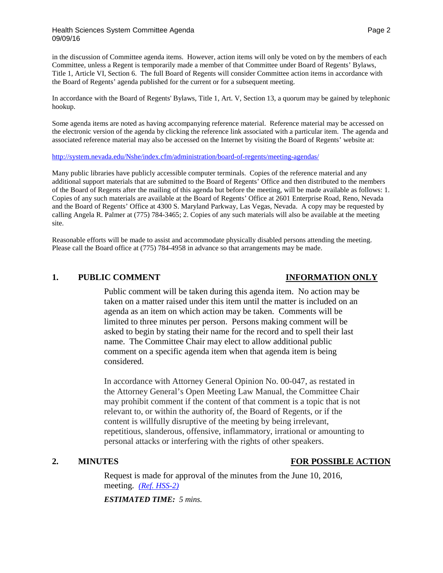in the discussion of Committee agenda items. However, action items will only be voted on by the members of each Committee, unless a Regent is temporarily made a member of that Committee under Board of Regents' Bylaws, Title 1, Article VI, Section 6. The full Board of Regents will consider Committee action items in accordance with the Board of Regents' agenda published for the current or for a subsequent meeting.

In accordance with the Board of Regents' Bylaws, Title 1, Art. V, Section 13, a quorum may be gained by telephonic hookup.

Some agenda items are noted as having accompanying reference material. Reference material may be accessed on the electronic version of the agenda by clicking the reference link associated with a particular item. The agenda and associated reference material may also be accessed on the Internet by visiting the Board of Regents' website at:

### <http://system.nevada.edu/Nshe/index.cfm/administration/board-of-regents/meeting-agendas/>

Many public libraries have publicly accessible computer terminals. Copies of the reference material and any additional support materials that are submitted to the Board of Regents' Office and then distributed to the members of the Board of Regents after the mailing of this agenda but before the meeting, will be made available as follows: 1. Copies of any such materials are available at the Board of Regents' Office at 2601 Enterprise Road, Reno, Nevada and the Board of Regents' Office at 4300 S. Maryland Parkway, Las Vegas, Nevada. A copy may be requested by calling Angela R. Palmer at (775) 784-3465; 2. Copies of any such materials will also be available at the meeting site.

Reasonable efforts will be made to assist and accommodate physically disabled persons attending the meeting. Please call the Board office at (775) 784-4958 in advance so that arrangements may be made.

### **1. PUBLIC COMMENT INFORMATION ONLY**

Public comment will be taken during this agenda item. No action may be taken on a matter raised under this item until the matter is included on an agenda as an item on which action may be taken. Comments will be limited to three minutes per person. Persons making comment will be asked to begin by stating their name for the record and to spell their last name. The Committee Chair may elect to allow additional public comment on a specific agenda item when that agenda item is being considered.

In accordance with Attorney General Opinion No. 00-047, as restated in the Attorney General's Open Meeting Law Manual, the Committee Chair may prohibit comment if the content of that comment is a topic that is not relevant to, or within the authority of, the Board of Regents, or if the content is willfully disruptive of the meeting by being irrelevant, repetitious, slanderous, offensive, inflammatory, irrational or amounting to personal attacks or interfering with the rights of other speakers.

# **2. MINUTES FOR POSSIBLE ACTION**

Request is made for approval of the minutes from the June 10, 2016, meeting. *[\(Ref. HSS-2\)](http://system.nevada.edu/tasks/sites/Nshe/assets/File/BoardOfRegents/Agendas/2016/sept-mtgs/hss-refs/HSS-2.pdf)*

*ESTIMATED TIME: 5 mins.*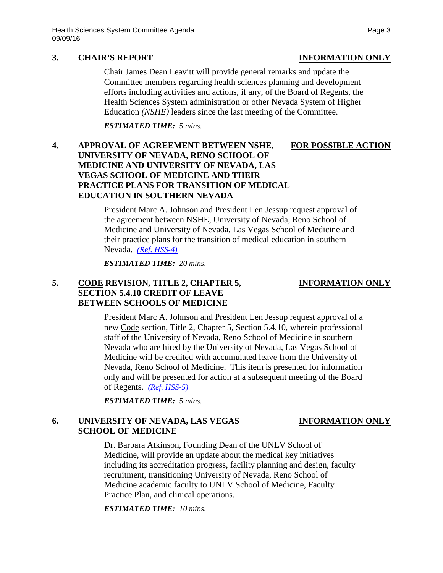### **3. CHAIR'S REPORT INFORMATION ONLY**

## Chair James Dean Leavitt will provide general remarks and update the Committee members regarding health sciences planning and development efforts including activities and actions, if any, of the Board of Regents, the Health Sciences System administration or other Nevada System of Higher Education *(NSHE)* leaders since the last meeting of the Committee.

*ESTIMATED TIME: 5 mins.*

# **4. APPROVAL OF AGREEMENT BETWEEN NSHE, FOR POSSIBLE ACTION UNIVERSITY OF NEVADA, RENO SCHOOL OF MEDICINE AND UNIVERSITY OF NEVADA, LAS VEGAS SCHOOL OF MEDICINE AND THEIR PRACTICE PLANS FOR TRANSITION OF MEDICAL EDUCATION IN SOUTHERN NEVADA**

President Marc A. Johnson and President Len Jessup request approval of the agreement between NSHE, University of Nevada, Reno School of Medicine and University of Nevada, Las Vegas School of Medicine and their practice plans for the transition of medical education in southern Nevada. *[\(Ref. HSS-4\)](http://system.nevada.edu/tasks/sites/Nshe/assets/File/BoardOfRegents/Agendas/2016/sept-mtgs/hss-refs/HSS-4.pdf)*

*ESTIMATED TIME: 20 mins.*

# **5. CODE REVISION, TITLE 2, CHAPTER 5, INFORMATION ONLY SECTION 5.4.10 CREDIT OF LEAVE BETWEEN SCHOOLS OF MEDICINE**

President Marc A. Johnson and President Len Jessup request approval of a new Code section, Title 2, Chapter 5, Section 5.4.10, wherein professional staff of the University of Nevada, Reno School of Medicine in southern Nevada who are hired by the University of Nevada, Las Vegas School of Medicine will be credited with accumulated leave from the University of Nevada, Reno School of Medicine. This item is presented for information only and will be presented for action at a subsequent meeting of the Board of Regents. *[\(Ref. HSS-5\)](http://system.nevada.edu/tasks/sites/Nshe/assets/File/BoardOfRegents/Agendas/2016/sept-mtgs/hss-refs/HSS-5.pdf)*

*ESTIMATED TIME: 5 mins.*

# **6. UNIVERSITY OF NEVADA, LAS VEGAS INFORMATION ONLY SCHOOL OF MEDICINE**

## Dr. Barbara Atkinson, Founding Dean of the UNLV School of Medicine, will provide an update about the medical key initiatives including its accreditation progress, facility planning and design, faculty recruitment, transitioning University of Nevada, Reno School of Medicine academic faculty to UNLV School of Medicine, Faculty Practice Plan, and clinical operations.

*ESTIMATED TIME: 10 mins.*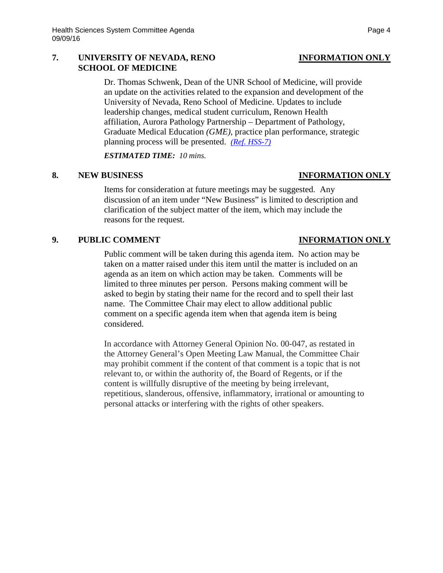### **7. UNIVERSITY OF NEVADA, RENO INFORMATION ONLY SCHOOL OF MEDICINE**

Dr. Thomas Schwenk, Dean of the UNR School of Medicine, will provide an update on the activities related to the expansion and development of the University of Nevada, Reno School of Medicine. Updates to include leadership changes, medical student curriculum, Renown Health affiliation, Aurora Pathology Partnership – Department of Pathology, Graduate Medical Education *(GME)*, practice plan performance, strategic planning process will be presented. *[\(Ref. HSS-7\)](http://system.nevada.edu/tasks/sites/Nshe/assets/File/BoardOfRegents/Agendas/2016/sept-mtgs/hss-refs/HSS-7.pdf)*

*ESTIMATED TIME: 10 mins.*

### **8. NEW BUSINESS INFORMATION ONLY**

Items for consideration at future meetings may be suggested. Any discussion of an item under "New Business" is limited to description and clarification of the subject matter of the item, which may include the reasons for the request.

## **9. PUBLIC COMMENT INFORMATION ONLY**

Public comment will be taken during this agenda item. No action may be taken on a matter raised under this item until the matter is included on an agenda as an item on which action may be taken. Comments will be limited to three minutes per person. Persons making comment will be asked to begin by stating their name for the record and to spell their last name. The Committee Chair may elect to allow additional public comment on a specific agenda item when that agenda item is being considered.

In accordance with Attorney General Opinion No. 00-047, as restated in the Attorney General's Open Meeting Law Manual, the Committee Chair may prohibit comment if the content of that comment is a topic that is not relevant to, or within the authority of, the Board of Regents, or if the content is willfully disruptive of the meeting by being irrelevant, repetitious, slanderous, offensive, inflammatory, irrational or amounting to personal attacks or interfering with the rights of other speakers.